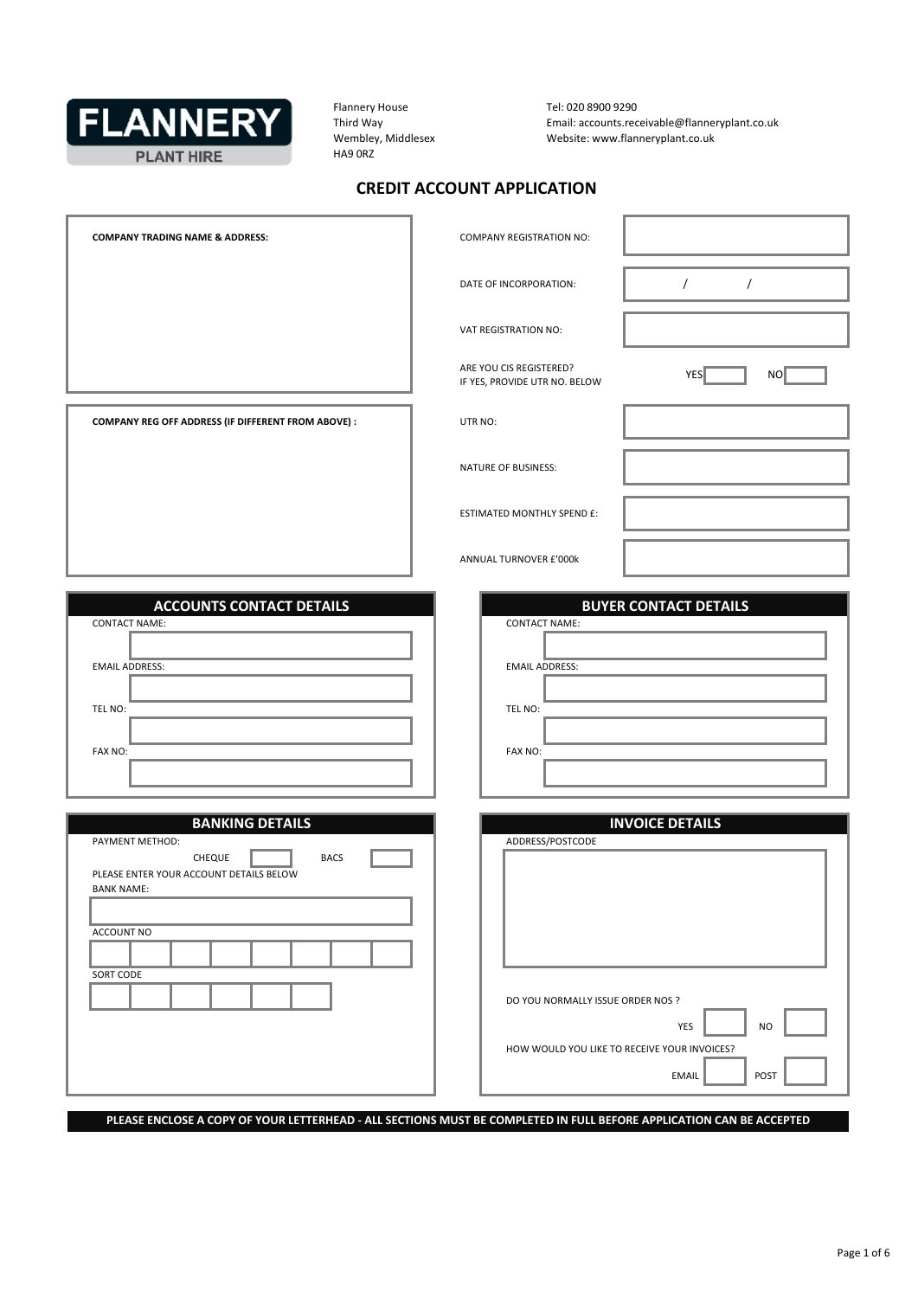

Flannery House Tel: 020 8900 9290<br>Third Way Third Way HA9 0RZ

Third Way Email: accounts.receivable@flanneryplant.co.uk Website: www.flanneryplant.co.uk

# **CREDIT ACCOUNT APPLICATION**

| <b>COMPANY TRADING NAME &amp; ADDRESS:</b>                                                                                                                                                                                                                              | <b>COMPANY REGISTRATION NO:</b>                                                                                                                                                                                                                                                    |
|-------------------------------------------------------------------------------------------------------------------------------------------------------------------------------------------------------------------------------------------------------------------------|------------------------------------------------------------------------------------------------------------------------------------------------------------------------------------------------------------------------------------------------------------------------------------|
|                                                                                                                                                                                                                                                                         | $\sqrt{2}$<br>$\prime$<br>DATE OF INCORPORATION:                                                                                                                                                                                                                                   |
|                                                                                                                                                                                                                                                                         | VAT REGISTRATION NO:                                                                                                                                                                                                                                                               |
|                                                                                                                                                                                                                                                                         | ARE YOU CIS REGISTERED?<br>YES<br><b>NO</b><br>IF YES, PROVIDE UTR NO. BELOW                                                                                                                                                                                                       |
| COMPANY REG OFF ADDRESS (IF DIFFERENT FROM ABOVE) :                                                                                                                                                                                                                     | UTR NO:                                                                                                                                                                                                                                                                            |
|                                                                                                                                                                                                                                                                         | NATURE OF BUSINESS:                                                                                                                                                                                                                                                                |
|                                                                                                                                                                                                                                                                         | ESTIMATED MONTHLY SPEND £:                                                                                                                                                                                                                                                         |
|                                                                                                                                                                                                                                                                         | ANNUAL TURNOVER £'000k                                                                                                                                                                                                                                                             |
| <b>ACCOUNTS CONTACT DETAILS</b><br><b>CONTACT NAME:</b><br><b>EMAIL ADDRESS:</b><br>TEL NO:<br>FAX NO:<br><b>BANKING DETAILS</b><br>PAYMENT METHOD:<br><b>BACS</b><br>CHEQUE<br>PLEASE ENTER YOUR ACCOUNT DETAILS BELOW<br><b>BANK NAME:</b><br>ACCOUNT NO<br>SORT CODE | <b>BUYER CONTACT DETAILS</b><br><b>CONTACT NAME:</b><br><b>EMAIL ADDRESS:</b><br>TEL NO:<br>FAX NO:<br><b>INVOICE DETAILS</b><br>ADDRESS/POSTCODE<br>DO YOU NORMALLY ISSUE ORDER NOS ?<br><b>NO</b><br>YES<br>HOW WOULD YOU LIKE TO RECEIVE YOUR INVOICES?<br>POST<br><b>EMAIL</b> |

**PLEASE ENCLOSE A COPY OF YOUR LETTERHEAD - ALL SECTIONS MUST BE COMPLETED IN FULL BEFORE APPLICATION CAN BE ACCEPTED**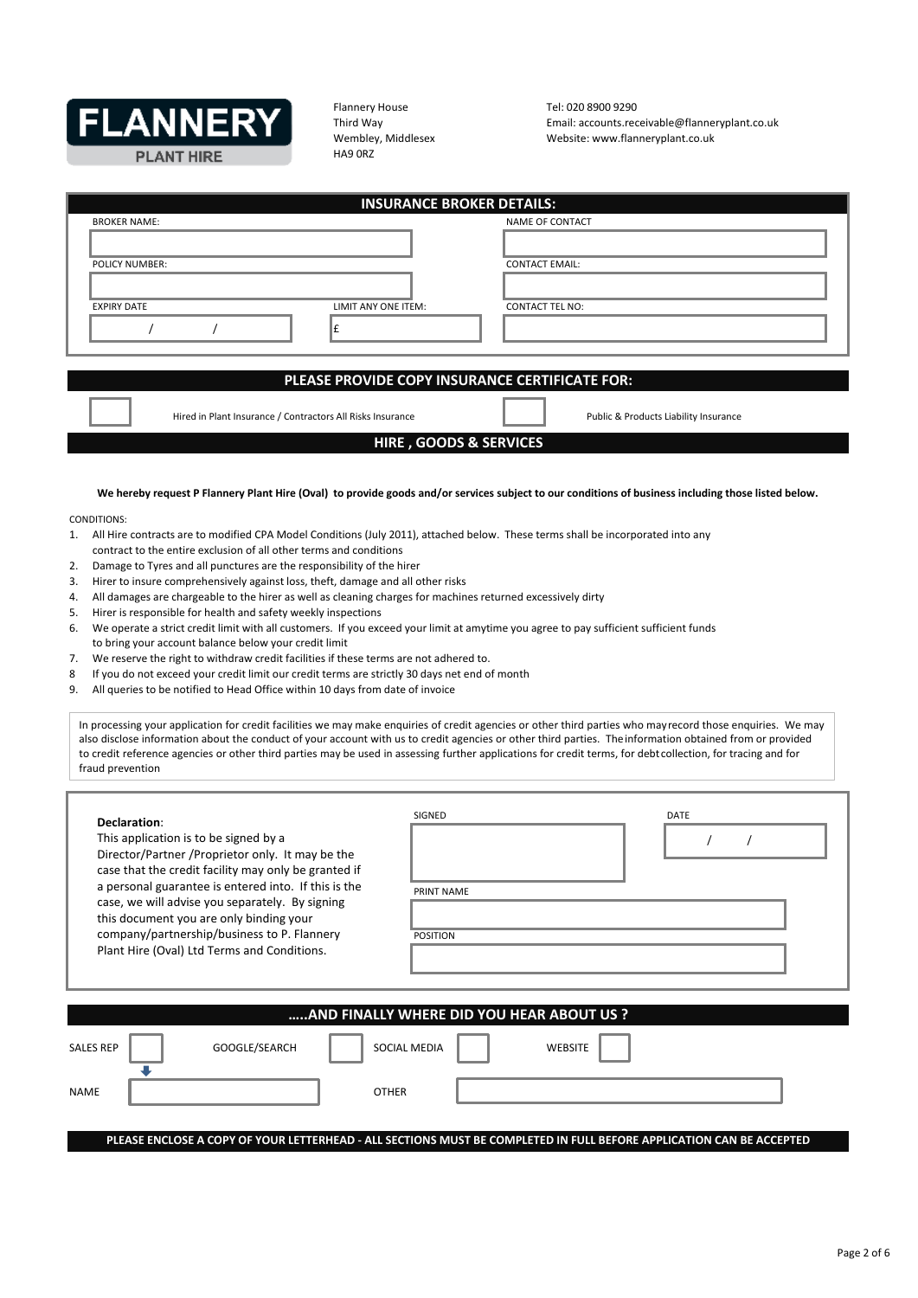

Flannery House Wembley, Middlesex HA9 0RZ

| Flannery House     | Tel: 020 8900 9290                             |
|--------------------|------------------------------------------------|
| Third Way          | Email: accounts.receivable@flanneryplant.co.uk |
| Wembley, Middlesex | Website: www.flanneryplant.co.uk               |

| <b>INSURANCE BROKER DETAILS:</b> |                       |  |  |                     |  |                        |  |
|----------------------------------|-----------------------|--|--|---------------------|--|------------------------|--|
| <b>BROKER NAME:</b>              |                       |  |  | NAME OF CONTACT     |  |                        |  |
|                                  |                       |  |  |                     |  |                        |  |
|                                  | <b>POLICY NUMBER:</b> |  |  |                     |  | <b>CONTACT EMAIL:</b>  |  |
|                                  |                       |  |  |                     |  |                        |  |
| <b>EXPIRY DATE</b>               |                       |  |  | LIMIT ANY ONE ITEM: |  | <b>CONTACT TEL NO:</b> |  |
|                                  |                       |  |  |                     |  |                        |  |

# **PLEASE PROVIDE COPY INSURANCE CERTIFICATE FOR:**

Hired in Plant Insurance / Contractors All Risks Insurance **Public All Public & Products Liability Insurance** 

**HIRE , GOODS & SERVICES**

**We hereby request P Flannery Plant Hire (Oval) to provide goods and/or services subject to our conditions of business including those listed below.**

CONDITIONS:

- 1. All Hire contracts are to modified CPA Model Conditions (July 2011), attached below. These terms shall be incorporated into any contract to the entire exclusion of all other terms and conditions
- 2. Damage to Tyres and all punctures are the responsibility of the hirer
- 3. Hirer to insure comprehensively against loss, theft, damage and all other risks
- 4. All damages are chargeable to the hirer as well as cleaning charges for machines returned excessively dirty
- 5. Hirer is responsible for health and safety weekly inspections
- 6. We operate a strict credit limit with all customers. If you exceed your limit at amytime you agree to pay sufficient sufficient funds to bring your account balance below your credit limit
- 7. We reserve the right to withdraw credit facilities if these terms are not adhered to.
- 8 If you do not exceed your credit limit our credit terms are strictly 30 days net end of month
- 9. All queries to be notified to Head Office within 10 days from date of invoice

In processing your application for credit facilities we may make enquiries of credit agencies or other third parties who may record those enquiries. We may also disclose information about the conduct of your account with us to credit agencies or other third parties. Theinformation obtained from or provided to credit reference agencies or other third parties may be used in assessing further applications for credit terms, for debt collection, for tracing and for fraud prevention

| Declaration:<br>This application is to be signed by a<br>Director/Partner /Proprietor only. It may be the<br>case that the credit facility may only be granted if<br>a personal guarantee is entered into. If this is the<br>case, we will advise you separately. By signing<br>this document you are only binding your<br>company/partnership/business to P. Flannery<br>Plant Hire (Oval) Ltd Terms and Conditions. | SIGNED<br>PRINT NAME<br><b>POSITION</b> | DATE |  |  |  |  |  |
|-----------------------------------------------------------------------------------------------------------------------------------------------------------------------------------------------------------------------------------------------------------------------------------------------------------------------------------------------------------------------------------------------------------------------|-----------------------------------------|------|--|--|--|--|--|
| AND FINALLY WHERE DID YOU HEAR ABOUT US ?                                                                                                                                                                                                                                                                                                                                                                             |                                         |      |  |  |  |  |  |
| <b>SALES REP</b><br>GOOGLE/SEARCH                                                                                                                                                                                                                                                                                                                                                                                     | SOCIAL MEDIA<br><b>WEBSITE</b>          |      |  |  |  |  |  |
| <b>NAME</b><br><b>OTHER</b>                                                                                                                                                                                                                                                                                                                                                                                           |                                         |      |  |  |  |  |  |

**PLEASE ENCLOSE A COPY OF YOUR LETTERHEAD - ALL SECTIONS MUST BE COMPLETED IN FULL BEFORE APPLICATION CAN BE ACCEPTED**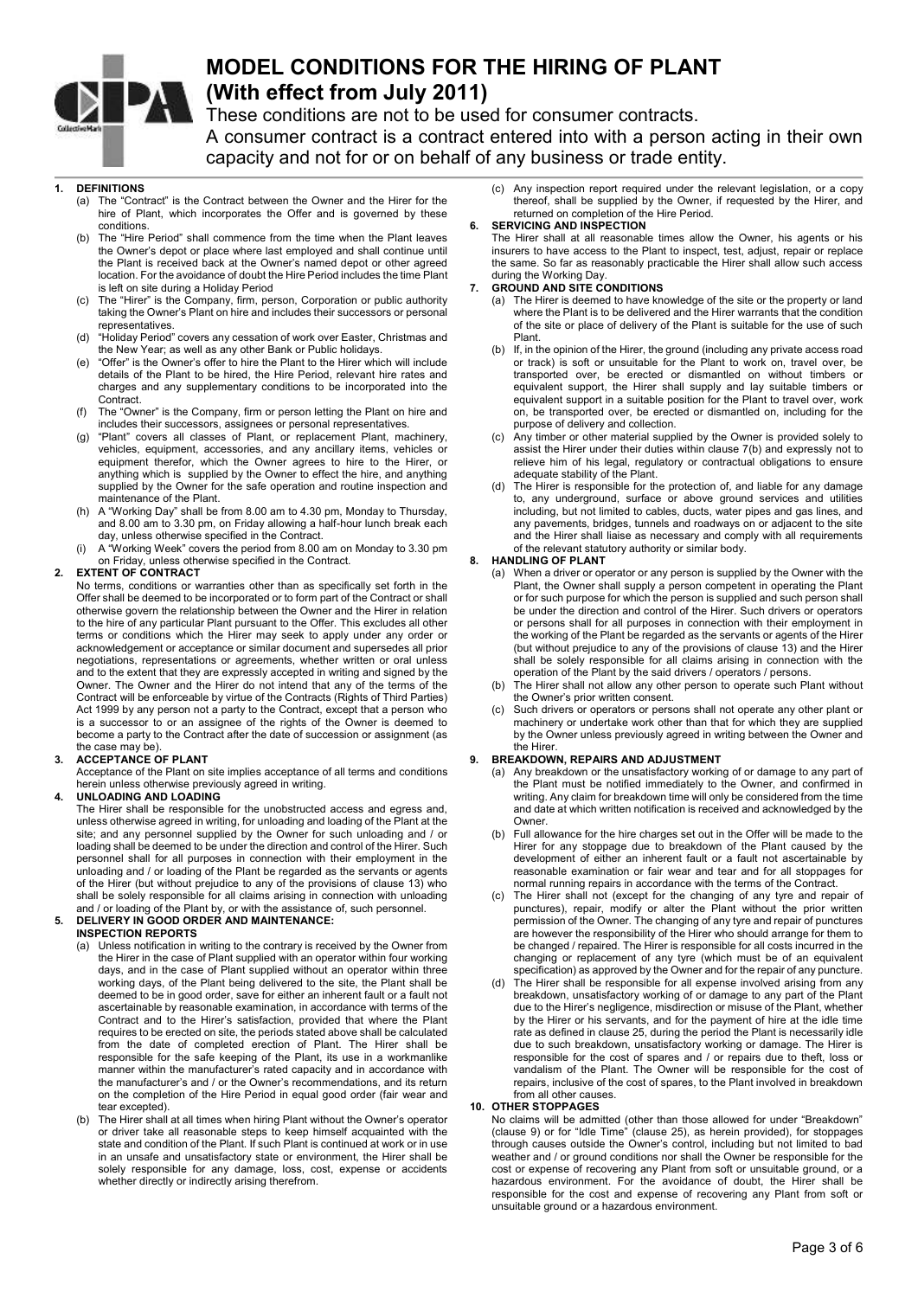# **MODEL CONDITIONS FOR THE HIRING OF PLANT (With effect from July 2011)**

These conditions are not to be used for consumer contracts. A consumer contract is a contract entered into with a person acting in their own capacity and not for or on behalf of any business or trade entity.

### **1. DEFINITIONS**

- (a) The "Contract" is the Contract between the Owner and the Hirer for the hire of Plant, which incorporates the Offer and is governed by these conditions.
- (b) The "Hire Period" shall commence from the time when the Plant leaves the Owner's depot or place where last employed and shall continue until the Plant is received back at the Owner's named depot or other agreed location. For the avoidance of doubt the Hire Period includes the time Plant is left on site during a Holiday Period
- (c) The "Hirer" is the Company, firm, person, Corporation or public authority taking the Owner's Plant on hire and includes their successors or personal representatives.
- (d) "Holiday Period" covers any cessation of work over Easter, Christmas and the New Year; as well as any other Bank or Public holidays.
- (e) "Offer" is the Owner's offer to hire the Plant to the Hirer which will include details of the Plant to be hired, the Hire Period, relevant hire rates and charges and any supplementary conditions to be incorporated into the Contract.
- (f) The "Owner" is the Company, firm or person letting the Plant on hire and includes their successors, assignees or personal representatives.
- (g) "Plant" covers all classes of Plant, or replacement Plant, machinery, vehicles, equipment, accessories, and any ancillary items, vehicles or equipment therefor, which the Owner agrees to hire to the Hirer, or anything which is supplied by the Owner to effect the hire, and anything supplied by the Owner for the safe operation and routine inspection and maintenance of the Plant.
- (h) A "Working Day" shall be from 8.00 am to 4.30 pm, Monday to Thursday, and 8.00 am to 3.30 pm, on Friday allowing a half-hour lunch break each day, unless otherwise specified in the Contract.
- (i) A "Working Week" covers the period from 8.00 am on Monday to 3.30 pm on Friday, unless otherwise specified in the Contract.

### **2. EXTENT OF CONTRACT**

No terms, conditions or warranties other than as specifically set forth in the Offer shall be deemed to be incorporated or to form part of the Contract or shall otherwise govern the relationship between the Owner and the Hirer in relation to the hire of any particular Plant pursuant to the Offer. This excludes all other terms or conditions which the Hirer may seek to apply under any order or acknowledgement or acceptance or similar document and supersedes all prior negotiations, representations or agreements, whether written or oral unless and to the extent that they are expressly accepted in writing and signed by the Owner. The Owner and the Hirer do not intend that any of the terms of the Contract will be enforceable by virtue of the Contracts (Rights of Third Parties) Act 1999 by any person not a party to the Contract, except that a person who is a successor to or an assignee of the rights of the Owner is deemed to become a party to the Contract after the date of succession or assignment (as the case may be).

# **3. ACCEPTANCE OF PLANT**

Acceptance of the Plant on site implies acceptance of all terms and conditions herein unless otherwise previously agreed in writing.

### **4. UNLOADING AND LOADING**

The Hirer shall be responsible for the unobstructed access and egress and, unless otherwise agreed in writing, for unloading and loading of the Plant at the site; and any personnel supplied by the Owner for such unloading and / or loading shall be deemed to be under the direction and control of the Hirer. Such personnel shall for all purposes in connection with their employment in the unloading and / or loading of the Plant be regarded as the servants or agents of the Hirer (but without prejudice to any of the provisions of clause 13) who shall be solely responsible for all claims arising in connection with unloading and / or loading of the Plant by, or with the assistance of, such personnel.

#### **5. DELIVERY IN GOOD ORDER AND MAINTENANCE: INSPECTION REPORTS**

- (a) Unless notification in writing to the contrary is received by the Owner from the Hirer in the case of Plant supplied with an operator within four working days, and in the case of Plant supplied without an operator within three working days, of the Plant being delivered to the site, the Plant shall be deemed to be in good order, save for either an inherent fault or a fault not ascertainable by reasonable examination, in accordance with terms of the Contract and to the Hirer's satisfaction, provided that where the Plant requires to be erected on site, the periods stated above shall be calculated from the date of completed erection of Plant. The Hirer shall be responsible for the safe keeping of the Plant, its use in a workmanlike manner within the manufacturer's rated capacity and in accordance with the manufacturer's and / or the Owner's recommendations, and its return on the completion of the Hire Period in equal good order (fair wear and tear excepted).
- The Hirer shall at all times when hiring Plant without the Owner's operator or driver take all reasonable steps to keep himself acquainted with the state and condition of the Plant. If such Plant is continued at work or in use in an unsafe and unsatisfactory state or environment, the Hirer shall be solely responsible for any damage, loss, cost, expense or accidents whether directly or indirectly arising therefrom.

Any inspection report required under the relevant legislation, or a copy thereof, shall be supplied by the Owner, if requested by the Hirer, and returned on completion of the Hire Period.

#### **6. SERVICING AND INSPECTION**

The Hirer shall at all reasonable times allow the Owner, his agents or his insurers to have access to the Plant to inspect, test, adjust, repair or replace the same. So far as reasonably practicable the Hirer shall allow such access during the Working Day.

# **7. GROUND AND SITE CONDITIONS**

- (a) The Hirer is deemed to have knowledge of the site or the property or land where the Plant is to be delivered and the Hirer warrants that the condition of the site or place of delivery of the Plant is suitable for the use of such Plant.
- (b) If, in the opinion of the Hirer, the ground (including any private access road or track) is soft or unsuitable for the Plant to work on, travel over, be transported over, be erected or dismantled on without timbers or equivalent support, the Hirer shall supply and lay suitable timbers or equivalent support in a suitable position for the Plant to travel over, work on, be transported over, be erected or dismantled on, including for the purpose of delivery and collection.
- (c) Any timber or other material supplied by the Owner is provided solely to assist the Hirer under their duties within clause 7(b) and expressly not to relieve him of his legal, regulatory or contractual obligations to ensure adequate stability of the Plant.
- (d) The Hirer is responsible for the protection of, and liable for any damage to, any underground, surface or above ground services and utilities including, but not limited to cables, ducts, water pipes and gas lines, and any pavements, bridges, tunnels and roadways on or adjacent to the site and the Hirer shall liaise as necessary and comply with all requirements of the relevant statutory authority or similar body.

### **8. HANDLING OF PLANT**

- (a) When a driver or operator or any person is supplied by the Owner with the Plant, the Owner shall supply a person competent in operating the Plant or for such purpose for which the person is supplied and such person shall be under the direction and control of the Hirer. Such drivers or operators or persons shall for all purposes in connection with their employment in the working of the Plant be regarded as the servants or agents of the Hirer (but without prejudice to any of the provisions of clause 13) and the Hirer shall be solely responsible for all claims arising in connection with the operation of the Plant by the said drivers / operators / persons.
- (b) The Hirer shall not allow any other person to operate such Plant without the Owner's prior written consent.
- (c) Such drivers or operators or persons shall not operate any other plant or machinery or undertake work other than that for which they are supplied by the Owner unless previously agreed in writing between the Owner and the Hirer.

### **9. BREAKDOWN, REPAIRS AND ADJUSTMENT**

- (a) Any breakdown or the unsatisfactory working of or damage to any part of the Plant must be notified immediately to the Owner, and confirmed in writing. Any claim for breakdown time will only be considered from the time and date at which written notification is received and acknowledged by the **Owner.**
- Full allowance for the hire charges set out in the Offer will be made to the Hirer for any stoppage due to breakdown of the Plant caused by the development of either an inherent fault or a fault not ascertainable by reasonable examination or fair wear and tear and for all stoppages for normal running repairs in accordance with the terms of the Contract.
- The Hirer shall not (except for the changing of any tyre and repair of punctures), repair, modify or alter the Plant without the prior written permission of the Owner. The changing of any tyre and repair of punctures are however the responsibility of the Hirer who should arrange for them to be changed / repaired. The Hirer is responsible for all costs incurred in the changing or replacement of any tyre (which must be of an equivalent specification) as approved by the Owner and for the repair of any puncture.
- (d) The Hirer shall be responsible for all expense involved arising from any breakdown, unsatisfactory working of or damage to any part of the Plant due to the Hirer's negligence, misdirection or misuse of the Plant, whether by the Hirer or his servants, and for the payment of hire at the idle time rate as defined in clause 25, during the period the Plant is necessarily idle due to such breakdown, unsatisfactory working or damage. The Hirer is responsible for the cost of spares and / or repairs due to theft, loss or vandalism of the Plant. The Owner will be responsible for the cost of repairs, inclusive of the cost of spares, to the Plant involved in breakdown from all other causes.

**10. OTHER STOPPAGES**

No claims will be admitted (other than those allowed for under "Breakdown" (clause 9) or for "Idle Time" (clause 25), as herein provided), for stoppages through causes outside the Owner's control, including but not limited to bad weather and / or ground conditions nor shall the Owner be responsible for the cost or expense of recovering any Plant from soft or unsuitable ground, or a hazardous environment. For the avoidance of doubt, the Hirer shall be responsible for the cost and expense of recovering any Plant from soft or unsuitable ground or a hazardous environment.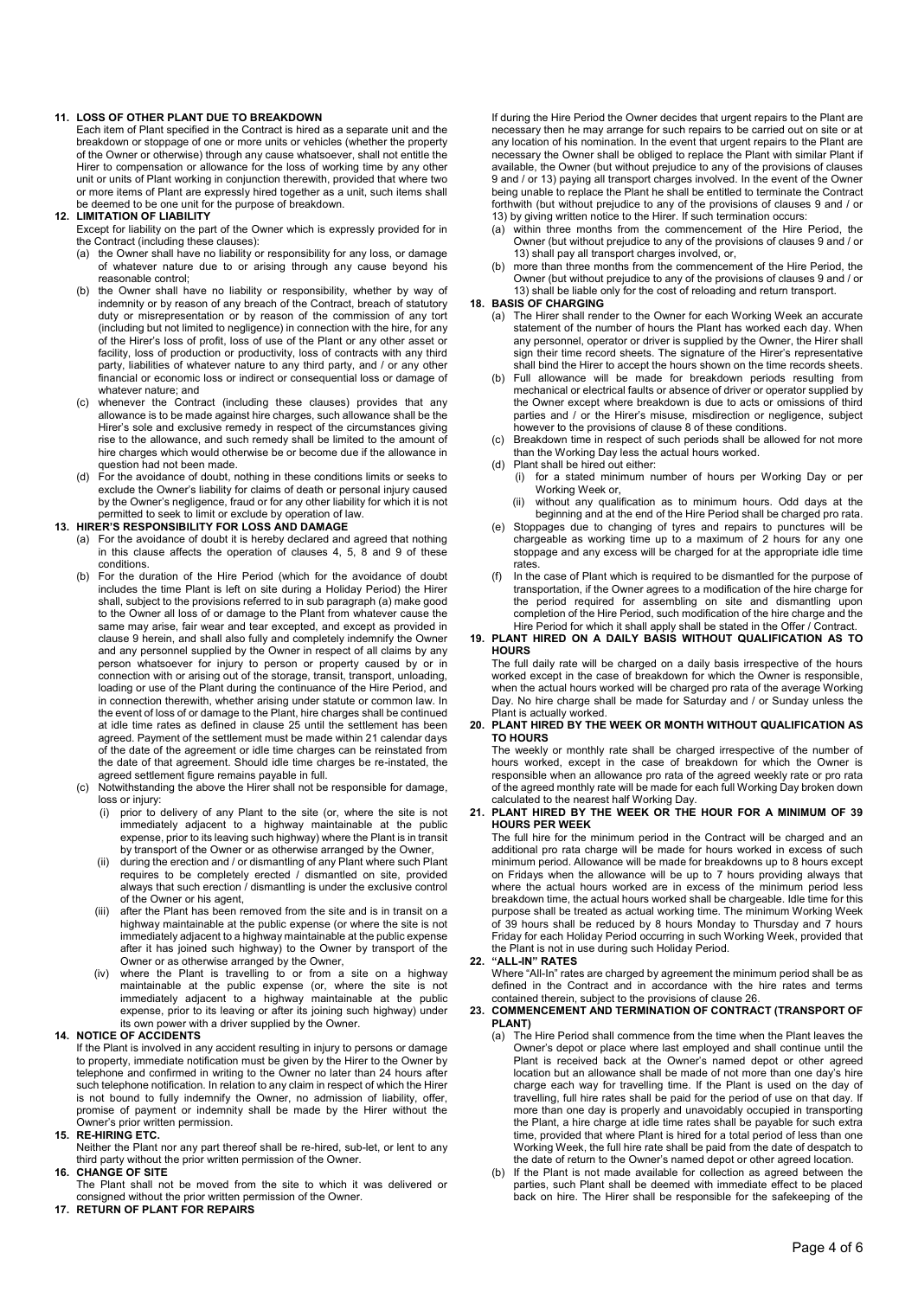#### **11. LOSS OF OTHER PLANT DUE TO BREAKDOWN**

Each item of Plant specified in the Contract is hired as a separate unit and the breakdown or stoppage of one or more units or vehicles (whether the property of the Owner or otherwise) through any cause whatsoever, shall not entitle the Hirer to compensation or allowance for the loss of working time by any other unit or units of Plant working in conjunction therewith, provided that where two or more items of Plant are expressly hired together as a unit, such items shall be deemed to be one unit for the purpose of breakdown.

#### **12. LIMITATION OF LIABILITY**

Except for liability on the part of the Owner which is expressly provided for in the Contract (including these clauses):

- (a) the Owner shall have no liability or responsibility for any loss, or damage of whatever nature due to or arising through any cause beyond his reasonable control;
- (b) the Owner shall have no liability or responsibility, whether by way of indemnity or by reason of any breach of the Contract, breach of statutory duty or misrepresentation or by reason of the commission of any tort (including but not limited to negligence) in connection with the hire, for any of the Hirer's loss of profit, loss of use of the Plant or any other asset or facility, loss of production or productivity, loss of contracts with any third party, liabilities of whatever nature to any third party, and / or any other financial or economic loss or indirect or consequential loss or damage of whatever nature; and
- (c) whenever the Contract (including these clauses) provides that any allowance is to be made against hire charges, such allowance shall be the Hirer's sole and exclusive remedy in respect of the circumstances giving rise to the allowance, and such remedy shall be limited to the amount of hire charges which would otherwise be or become due if the allowance in question had not been made.
- (d) For the avoidance of doubt, nothing in these conditions limits or seeks to exclude the Owner's liability for claims of death or personal injury caused by the Owner's negligence, fraud or for any other liability for which it is not permitted to seek to limit or exclude by operation of law.

#### **13. HIRER'S RESPONSIBILITY FOR LOSS AND DAMAGE**

- (a) For the avoidance of doubt it is hereby declared and agreed that nothing in this clause affects the operation of clauses 4, 5, 8 and 9 of these conditions.
- (b) For the duration of the Hire Period (which for the avoidance of doubt includes the time Plant is left on site during a Holiday Period) the Hirer shall, subject to the provisions referred to in sub paragraph (a) make good to the Owner all loss of or damage to the Plant from whatever cause the same may arise, fair wear and tear excepted, and except as provided in clause 9 herein, and shall also fully and completely indemnify the Owner and any personnel supplied by the Owner in respect of all claims by any person whatsoever for injury to person or property caused by or in connection with or arising out of the storage, transit, transport, unloading, loading or use of the Plant during the continuance of the Hire Period, and in connection therewith, whether arising under statute or common law. In the event of loss of or damage to the Plant, hire charges shall be continued at idle time rates as defined in clause 25 until the settlement has been agreed. Payment of the settlement must be made within 21 calendar days of the date of the agreement or idle time charges can be reinstated from the date of that agreement. Should idle time charges be re-instated, the agreed settlement figure remains payable in full.
- (c) Notwithstanding the above the Hirer shall not be responsible for damage, loss or injury:
	- (i) prior to delivery of any Plant to the site (or, where the site is not immediately adjacent to a highway maintainable at the public expense, prior to its leaving such highway) where the Plant is in transit by transport of the Owner or as otherwise arranged by the Owner,
	- (ii) during the erection and / or dismantling of any Plant where such Plant requires to be completely erected / dismantled on site, provided always that such erection / dismantling is under the exclusive control of the Owner or his agent,
	- after the Plant has been removed from the site and is in transit on a highway maintainable at the public expense (or where the site is not immediately adjacent to a highway maintainable at the public expense after it has joined such highway) to the Owner by transport of the Owner or as otherwise arranged by the Owner,
	- (iv) where the Plant is travelling to or from a site on a highway maintainable at the public expense (or, where the site is not immediately adjacent to a highway maintainable at the public expense, prior to its leaving or after its joining such highway) under its own power with a driver supplied by the Owner.

#### **14. NOTICE OF ACCIDENTS**

If the Plant is involved in any accident resulting in injury to persons or damage to property, immediate notification must be given by the Hirer to the Owner by telephone and confirmed in writing to the Owner no later than 24 hours after such telephone notification. In relation to any claim in respect of which the Hirer is not bound to fully indemnify the Owner, no admission of liability, offer, promise of payment or indemnity shall be made by the Hirer without the Owner's prior written permission.

#### **15. RE-HIRING ETC.**

Neither the Plant nor any part thereof shall be re-hired, sub-let, or lent to any third party without the prior written permission of the Owner.

**16. CHANGE OF SITE**

The Plant shall not be moved from the site to which it was delivered or consigned without the prior written permission of the Owner.

**17. RETURN OF PLANT FOR REPAIRS**

If during the Hire Period the Owner decides that urgent repairs to the Plant are necessary then he may arrange for such repairs to be carried out on site or at any location of his nomination. In the event that urgent repairs to the Plant are necessary the Owner shall be obliged to replace the Plant with similar Plant if available, the Owner (but without prejudice to any of the provisions of clauses 9 and / or 13) paying all transport charges involved. In the event of the Owner being unable to replace the Plant he shall be entitled to terminate the Contract forthwith (but without prejudice to any of the provisions of clauses 9 and / or 13) by giving written notice to the Hirer. If such termination occurs:

- (a) within three months from the commencement of the Hire Period, the Owner (but without prejudice to any of the provisions of clauses 9 and / or 13) shall pay all transport charges involved, or,
- (b) more than three months from the commencement of the Hire Period, the Owner (but without prejudice to any of the provisions of clauses 9 and / or 13) shall be liable only for the cost of reloading and return transport.

#### **18. BASIS OF CHARGING**

- (a) The Hirer shall render to the Owner for each Working Week an accurate statement of the number of hours the Plant has worked each day. When any personnel, operator or driver is supplied by the Owner, the Hirer shall sign their time record sheets. The signature of the Hirer's representative shall bind the Hirer to accept the hours shown on the time records sheets.
- (b) Full allowance will be made for breakdown periods resulting from mechanical or electrical faults or absence of driver or operator supplied by the Owner except where breakdown is due to acts or omissions of third parties and / or the Hirer's misuse, misdirection or negligence, subject however to the provisions of clause 8 of these conditions.
- Breakdown time in respect of such periods shall be allowed for not more than the Working Day less the actual hours worked.
- (d) Plant shall be hired out either:
	- (i) for a stated minimum number of hours per Working Day or per Working Week or, (ii) without any qualification as to minimum hours. Odd days at the
	- beginning and at the end of the Hire Period shall be charged pro rata.
- (e) Stoppages due to changing of tyres and repairs to punctures will be chargeable as working time up to a maximum of 2 hours for any one stoppage and any excess will be charged for at the appropriate idle time rates.
- (f) In the case of Plant which is required to be dismantled for the purpose of transportation, if the Owner agrees to a modification of the hire charge for the period required for assembling on site and dismantling upon completion of the Hire Period, such modification of the hire charge and the Hire Period for which it shall apply shall be stated in the Offer / Contract.

#### **19. PLANT HIRED ON A DAILY BASIS WITHOUT QUALIFICATION AS TO HOURS**

The full daily rate will be charged on a daily basis irrespective of the hours worked except in the case of breakdown for which the Owner is responsible, when the actual hours worked will be charged pro rata of the average Working Day. No hire charge shall be made for Saturday and / or Sunday unless the Plant is actually worked.

#### **20. PLANT HIRED BY THE WEEK OR MONTH WITHOUT QUALIFICATION AS TO HOURS**

The weekly or monthly rate shall be charged irrespective of the number of hours worked, except in the case of breakdown for which the Owner is responsible when an allowance pro rata of the agreed weekly rate or pro rata of the agreed monthly rate will be made for each full Working Day broken down calculated to the nearest half Working Day.

#### **21. PLANT HIRED BY THE WEEK OR THE HOUR FOR A MINIMUM OF 39 HOURS PER WEEK**

The full hire for the minimum period in the Contract will be charged and an additional pro rata charge will be made for hours worked in excess of such minimum period. Allowance will be made for breakdowns up to 8 hours except on Fridays when the allowance will be up to 7 hours providing always that where the actual hours worked are in excess of the minimum period less breakdown time, the actual hours worked shall be chargeable. Idle time for this purpose shall be treated as actual working time. The minimum Working Week of 39 hours shall be reduced by 8 hours Monday to Thursday and 7 hours Friday for each Holiday Period occurring in such Working Week, provided that the Plant is not in use during such Holiday Period.

#### **22. "ALL-IN" RATES** Where "All-In" rates are charged by agreement the minimum period shall be as

#### defined in the Contract and in accordance with the hire rates and terms contained therein, subject to the provisions of clause 26. **23. COMMENCEMENT AND TERMINATION OF CONTRACT (TRANSPORT OF**

# **PLANT)**

- (a) The Hire Period shall commence from the time when the Plant leaves the Owner's depot or place where last employed and shall continue until the Plant is received back at the Owner's named depot or other agreed location but an allowance shall be made of not more than one day's hire charge each way for travelling time. If the Plant is used on the day of travelling, full hire rates shall be paid for the period of use on that day. If more than one day is properly and unavoidably occupied in transporting the Plant, a hire charge at idle time rates shall be payable for such extra time, provided that where Plant is hired for a total period of less than one Working Week, the full hire rate shall be paid from the date of despatch to the date of return to the Owner's named depot or other agreed location.
- (b) If the Plant is not made available for collection as agreed between the parties, such Plant shall be deemed with immediate effect to be placed back on hire. The Hirer shall be responsible for the safekeeping of the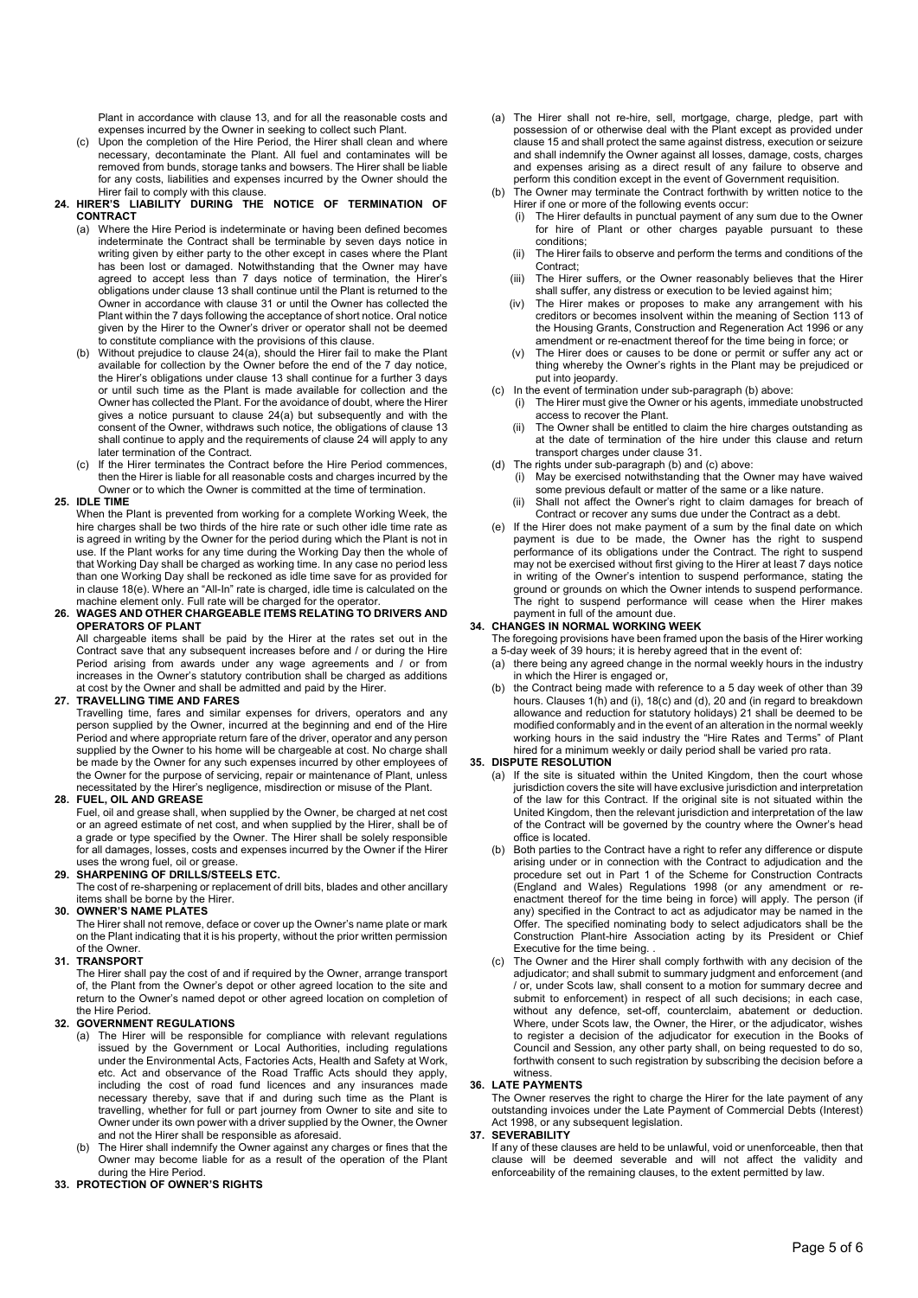Plant in accordance with clause 13, and for all the reasonable costs and expenses incurred by the Owner in seeking to collect such Plant.

- (c) Upon the completion of the Hire Period, the Hirer shall clean and where necessary, decontaminate the Plant. All fuel and contaminates will be removed from bunds, storage tanks and bowsers. The Hirer shall be liable for any costs, liabilities and expenses incurred by the Owner should the Hirer fail to comply with this clause.
- **24. HIRER'S LIABILITY DURING THE NOTICE OF TERMINATION OF CONTRACT**
	- (a) Where the Hire Period is indeterminate or having been defined becomes indeterminate the Contract shall be terminable by seven days notice in writing given by either party to the other except in cases where the Plant has been lost or damaged. Notwithstanding that the Owner may have agreed to accept less than 7 days notice of termination, the Hirer's obligations under clause 13 shall continue until the Plant is returned to the Owner in accordance with clause 31 or until the Owner has collected the Plant within the 7 days following the acceptance of short notice. Oral notice given by the Hirer to the Owner's driver or operator shall not be deemed to constitute compliance with the provisions of this clause.
	- (b) Without prejudice to clause 24(a), should the Hirer fail to make the Plant available for collection by the Owner before the end of the 7 day notice, the Hirer's obligations under clause 13 shall continue for a further 3 days or until such time as the Plant is made available for collection and the Owner has collected the Plant. For the avoidance of doubt, where the Hirer gives a notice pursuant to clause 24(a) but subsequently and with the consent of the Owner, withdraws such notice, the obligations of clause 13 shall continue to apply and the requirements of clause 24 will apply to any later termination of the Contract.
	- (c) If the Hirer terminates the Contract before the Hire Period commences, then the Hirer is liable for all reasonable costs and charges incurred by the Owner or to which the Owner is committed at the time of termination.

#### **25. IDLE TIME**

When the Plant is prevented from working for a complete Working Week, the hire charges shall be two thirds of the hire rate or such other idle time rate as is agreed in writing by the Owner for the period during which the Plant is not in use. If the Plant works for any time during the Working Day then the whole of that Working Day shall be charged as working time. In any case no period less than one Working Day shall be reckoned as idle time save for as provided for in clause 18(e). Where an "All-In" rate is charged, idle time is calculated on the machine element only. Full rate will be charged for the operator.

#### **26. WAGES AND OTHER CHARGEABLE ITEMS RELATING TO DRIVERS AND OPERATORS OF PLANT**

All chargeable items shall be paid by the Hirer at the rates set out in the Contract save that any subsequent increases before and / or during the Hire Period arising from awards under any wage agreements and / or from increases in the Owner's statutory contribution shall be charged as additions at cost by the Owner and shall be admitted and paid by the Hirer.

#### **27. TRAVELLING TIME AND FARES**

Travelling time, fares and similar expenses for drivers, operators and any person supplied by the Owner, incurred at the beginning and end of the Hire Period and where appropriate return fare of the driver, operator and any person supplied by the Owner to his home will be chargeable at cost. No charge shall be made by the Owner for any such expenses incurred by other employees of the Owner for the purpose of servicing, repair or maintenance of Plant, unless necessitated by the Hirer's negligence, misdirection or misuse of the Plant.

# **28. FUEL, OIL AND GREASE**

Fuel, oil and grease shall, when supplied by the Owner, be charged at net cost or an agreed estimate of net cost, and when supplied by the Hirer, shall be of a grade or type specified by the Owner. The Hirer shall be solely responsible for all damages, losses, costs and expenses incurred by the Owner if the Hirer uses the wrong fuel, oil or grease.

### **29. SHARPENING OF DRILLS/STEELS ETC.**

The cost of re-sharpening or replacement of drill bits, blades and other ancillary items shall be borne by the Hirer.

#### **30. OWNER'S NAME PLATES**

The Hirer shall not remove, deface or cover up the Owner's name plate or mark on the Plant indicating that it is his property, without the prior written permission of the Owner.

### **31. TRANSPORT**

The Hirer shall pay the cost of and if required by the Owner, arrange transport of, the Plant from the Owner's depot or other agreed location to the site and return to the Owner's named depot or other agreed location on completion of the Hire Period.

### **32. GOVERNMENT REGULATIONS**

- (a) The Hirer will be responsible for compliance with relevant regulations issued by the Government or Local Authorities, including regulations under the Environmental Acts, Factories Acts, Health and Safety at Work, etc. Act and observance of the Road Traffic Acts should they apply, including the cost of road fund licences and any insurances made necessary thereby, save that if and during such time as the Plant is travelling, whether for full or part journey from Owner to site and site to Owner under its own power with a driver supplied by the Owner, the Owner and not the Hirer shall be responsible as aforesaid.
- (b) The Hirer shall indemnify the Owner against any charges or fines that the Owner may become liable for as a result of the operation of the Plant during the Hire Period.

### **33. PROTECTION OF OWNER'S RIGHTS**

- (a) The Hirer shall not re-hire, sell, mortgage, charge, pledge, part with possession of or otherwise deal with the Plant except as provided under clause 15 and shall protect the same against distress, execution or seizure and shall indemnify the Owner against all losses, damage, costs, charges and expenses arising as a direct result of any failure to observe and perform this condition except in the event of Government requisition.
- (b) The Owner may terminate the Contract forthwith by written notice to the Hirer if one or more of the following events occur:
	- (i) The Hirer defaults in punctual payment of any sum due to the Owner for hire of Plant or other charges payable pursuant to these conditions;
	- (ii) The Hirer fails to observe and perform the terms and conditions of the Contract;
	- (iii) The Hirer suffers, or the Owner reasonably believes that the Hirer shall suffer, any distress or execution to be levied against him;
	- (iv) The Hirer makes or proposes to make any arrangement with his creditors or becomes insolvent within the meaning of Section 113 of the Housing Grants, Construction and Regeneration Act 1996 or any amendment or re-enactment thereof for the time being in force; or
	- The Hirer does or causes to be done or permit or suffer any act or thing whereby the Owner's rights in the Plant may be prejudiced or put into jeopardy.
- (c) In the event of termination under sub-paragraph (b) above:
	- (i) The Hirer must give the Owner or his agents, immediate unobstructed access to recover the Plant.
	- (ii) The Owner shall be entitled to claim the hire charges outstanding as at the date of termination of the hire under this clause and return transport charges under clause 31.
- (d) The rights under sub-paragraph (b) and (c) above:
	- (i) May be exercised notwithstanding that the Owner may have waived some previous default or matter of the same or a like nature.
	- (ii) Shall not affect the Owner's right to claim damages for breach of Contract or recover any sums due under the Contract as a debt.
- (e) If the Hirer does not make payment of a sum by the final date on which payment is due to be made, the Owner has the right to suspend performance of its obligations under the Contract. The right to suspend may not be exercised without first giving to the Hirer at least 7 days notice in writing of the Owner's intention to suspend performance, stating the ground or grounds on which the Owner intends to suspend performance. The right to suspend performance will cease when the Hirer makes payment in full of the amount due.

### **34. CHANGES IN NORMAL WORKING WEEK**

The foregoing provisions have been framed upon the basis of the Hirer working a 5-day week of 39 hours; it is hereby agreed that in the event of:

- (a) there being any agreed change in the normal weekly hours in the industry in which the Hirer is engaged or,
- (b) the Contract being made with reference to a 5 day week of other than 39 hours. Clauses 1(h) and (i), 18(c) and (d), 20 and (in regard to breakdown allowance and reduction for statutory holidays) 21 shall be deemed to be modified conformably and in the event of an alteration in the normal weekly working hours in the said industry the "Hire Rates and Terms" of Plant hired for a minimum weekly or daily period shall be varied pro rata.

#### **35. DISPUTE RESOLUTION**

- (a) If the site is situated within the United Kingdom, then the court whose jurisdiction covers the site will have exclusive jurisdiction and interpretation of the law for this Contract. If the original site is not situated within the United Kingdom, then the relevant jurisdiction and interpretation of the law of the Contract will be governed by the country where the Owner's head office is located.
- (b) Both parties to the Contract have a right to refer any difference or dispute arising under or in connection with the Contract to adjudication and the procedure set out in Part 1 of the Scheme for Construction Contracts (England and Wales) Regulations 1998 (or any amendment or reenactment thereof for the time being in force) will apply. The person (if any) specified in the Contract to act as adjudicator may be named in the Offer. The specified nominating body to select adjudicators shall be the Construction Plant-hire Association acting by its President or Chief Executive for the time being. .
- (c) The Owner and the Hirer shall comply forthwith with any decision of the adjudicator; and shall submit to summary judgment and enforcement (and / or, under Scots law, shall consent to a motion for summary decree and submit to enforcement) in respect of all such decisions; in each case, without any defence, set-off, counterclaim, abatement or deduction. Where, under Scots law, the Owner, the Hirer, or the adjudicator, wishes to register a decision of the adjudicator for execution in the Books of Council and Session, any other party shall, on being requested to do so, forthwith consent to such registration by subscribing the decision before a witness.

#### **36. LATE PAYMENTS**

The Owner reserves the right to charge the Hirer for the late payment of any outstanding invoices under the Late Payment of Commercial Debts (Interest) Act 1998, or any subsequent legislation.

#### **37. SEVERABILITY**

If any of these clauses are held to be unlawful, void or unenforceable, then that clause will be deemed severable and will not affect the validity and enforceability of the remaining clauses, to the extent permitted by law.